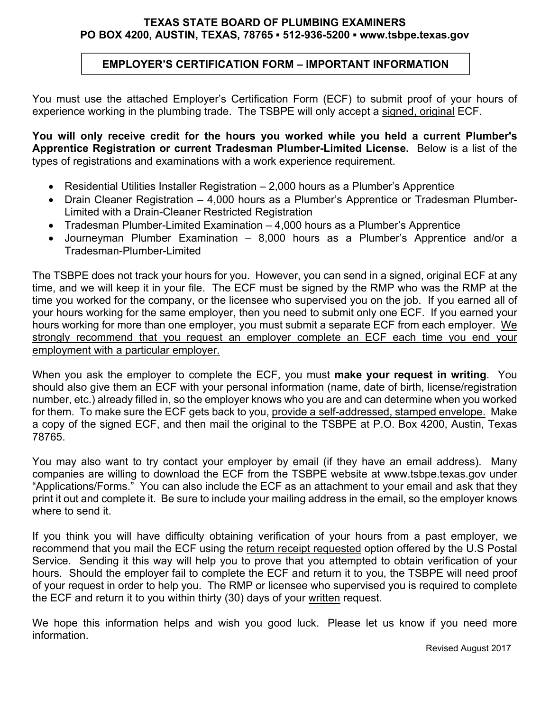## **TEXAS STATE BOARD OF PLUMBING EXAMINERS PO BOX 4200, AUSTIN, TEXAS, 78765 ▪ 512-936-5200 ▪ www.tsbpe.texas.gov**

## **EMPLOYER'S CERTIFICATION FORM – IMPORTANT INFORMATION**

You must use the attached Employer's Certification Form (ECF) to submit proof of your hours of experience working in the plumbing trade. The TSBPE will only accept a signed, original ECF.

**You will only receive credit for the hours you worked while you held a current Plumber's Apprentice Registration or current Tradesman Plumber-Limited License.** Below is a list of the types of registrations and examinations with a work experience requirement.

- Residential Utilities Installer Registration 2,000 hours as a Plumber's Apprentice
- Drain Cleaner Registration 4,000 hours as a Plumber's Apprentice or Tradesman Plumber-Limited with a Drain-Cleaner Restricted Registration
- Tradesman Plumber-Limited Examination 4,000 hours as a Plumber's Apprentice
- Journeyman Plumber Examination 8,000 hours as a Plumber's Apprentice and/or a Tradesman-Plumber-Limited

The TSBPE does not track your hours for you. However, you can send in a signed, original ECF at any time, and we will keep it in your file. The ECF must be signed by the RMP who was the RMP at the time you worked for the company, or the licensee who supervised you on the job. If you earned all of your hours working for the same employer, then you need to submit only one ECF. If you earned your hours working for more than one employer, you must submit a separate ECF from each employer. We strongly recommend that you request an employer complete an ECF each time you end your employment with a particular employer.

When you ask the employer to complete the ECF, you must **make your request in writing**. You should also give them an ECF with your personal information (name, date of birth, license/registration number, etc.) already filled in, so the employer knows who you are and can determine when you worked for them. To make sure the ECF gets back to you, provide a self-addressed, stamped envelope. Make a copy of the signed ECF, and then mail the original to the TSBPE at P.O. Box 4200, Austin, Texas 78765.

You may also want to try contact your employer by email (if they have an email address). Many companies are willing to download the ECF from the TSBPE website at www.tsbpe.texas.gov under "Applications/Forms." You can also include the ECF as an attachment to your email and ask that they print it out and complete it. Be sure to include your mailing address in the email, so the employer knows where to send it.

If you think you will have difficulty obtaining verification of your hours from a past employer, we recommend that you mail the ECF using the return receipt requested option offered by the U.S Postal Service. Sending it this way will help you to prove that you attempted to obtain verification of your hours. Should the employer fail to complete the ECF and return it to you, the TSBPE will need proof of your request in order to help you. The RMP or licensee who supervised you is required to complete the ECF and return it to you within thirty (30) days of your written request.

We hope this information helps and wish you good luck. Please let us know if you need more information.